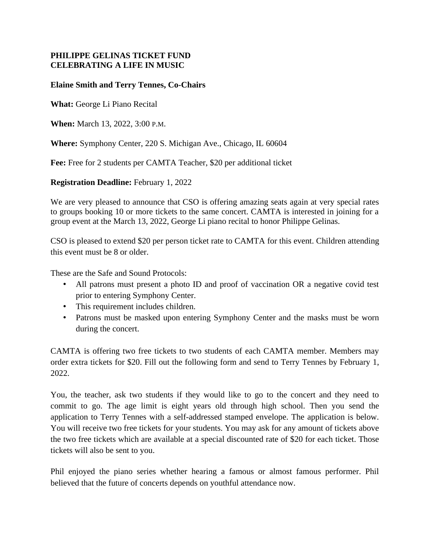## **PHILIPPE GELINAS TICKET FUND CELEBRATING A LIFE IN MUSIC**

## **Elaine Smith and Terry Tennes, Co-Chairs**

**What:** George Li Piano Recital

**When:** March 13, 2022, 3:00 P.M.

**Where:** Symphony Center, 220 S. Michigan Ave., Chicago, IL 60604

**Fee:** Free for 2 students per CAMTA Teacher, \$20 per additional ticket

**Registration Deadline:** February 1, 2022

We are very pleased to announce that CSO is offering amazing seats again at very special rates to groups booking 10 or more tickets to the same concert. CAMTA is interested in joining for a group event at the March 13, 2022, George Li piano recital to honor Philippe Gelinas.

CSO is pleased to extend \$20 per person ticket rate to CAMTA for this event. Children attending this event must be 8 or older.

These are the Safe and Sound Protocols:

- All patrons must present a photo ID and proof of vaccination OR a negative covid test prior to entering Symphony Center.
- This requirement includes children.
- Patrons must be masked upon entering Symphony Center and the masks must be worn during the concert.

CAMTA is offering two free tickets to two students of each CAMTA member. Members may order extra tickets for \$20. Fill out the following form and send to Terry Tennes by February 1, 2022.

You, the teacher, ask two students if they would like to go to the concert and they need to commit to go. The age limit is eight years old through high school. Then you send the application to Terry Tennes with a self-addressed stamped envelope. The application is below. You will receive two free tickets for your students. You may ask for any amount of tickets above the two free tickets which are available at a special discounted rate of \$20 for each ticket. Those tickets will also be sent to you.

Phil enjoyed the piano series whether hearing a famous or almost famous performer. Phil believed that the future of concerts depends on youthful attendance now.